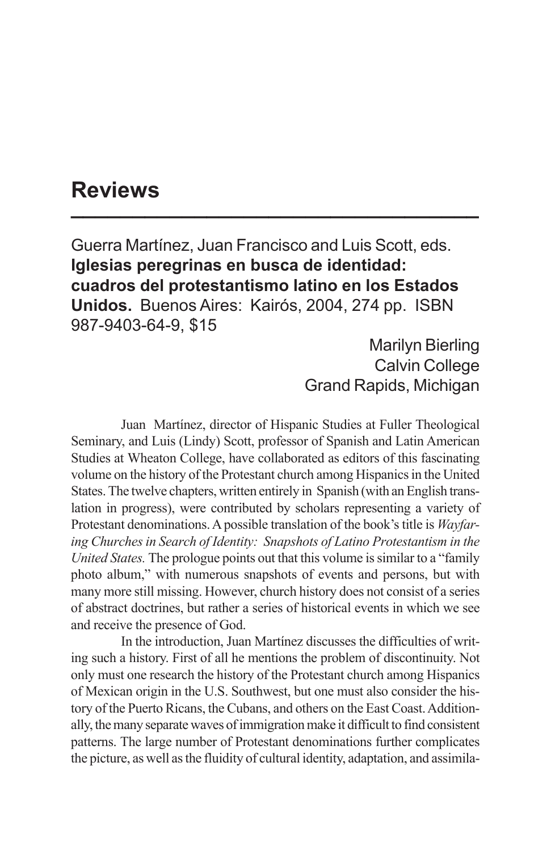## **Reviews \_\_\_\_\_\_\_\_\_\_\_\_\_\_\_\_\_\_\_\_\_\_\_\_\_\_\_\_\_\_\_\_\_**

Guerra Martínez, Juan Francisco and Luis Scott, eds. **Iglesias peregrinas en busca de identidad: cuadros del protestantismo latino en los Estados Unidos.** Buenos Aires: Kairós, 2004, 274 pp. ISBN 987-9403-64-9, \$15

> Marilyn Bierling Calvin College Grand Rapids, Michigan

Juan Martínez, director of Hispanic Studies at Fuller Theological Seminary, and Luis (Lindy) Scott, professor of Spanish and Latin American Studies at Wheaton College, have collaborated as editors of this fascinating volume on the history of the Protestant church among Hispanics in the United States. The twelve chapters, written entirely in Spanish (with an English translation in progress), were contributed by scholars representing a variety of Protestant denominations. A possible translation of the book's title is *Wayfaring Churches in Search of Identity: Snapshots of Latino Protestantism in the United States.* The prologue points out that this volume is similar to a "family photo album," with numerous snapshots of events and persons, but with many more still missing. However, church history does not consist of a series of abstract doctrines, but rather a series of historical events in which we see and receive the presence of God.

In the introduction, Juan Martínez discusses the difficulties of writing such a history. First of all he mentions the problem of discontinuity. Not only must one research the history of the Protestant church among Hispanics of Mexican origin in the U.S. Southwest, but one must also consider the history of the Puerto Ricans, the Cubans, and others on the East Coast. Additionally, the many separate waves of immigration make it difficult to find consistent patterns. The large number of Protestant denominations further complicates the picture, as well as the fluidity of cultural identity, adaptation, and assimila-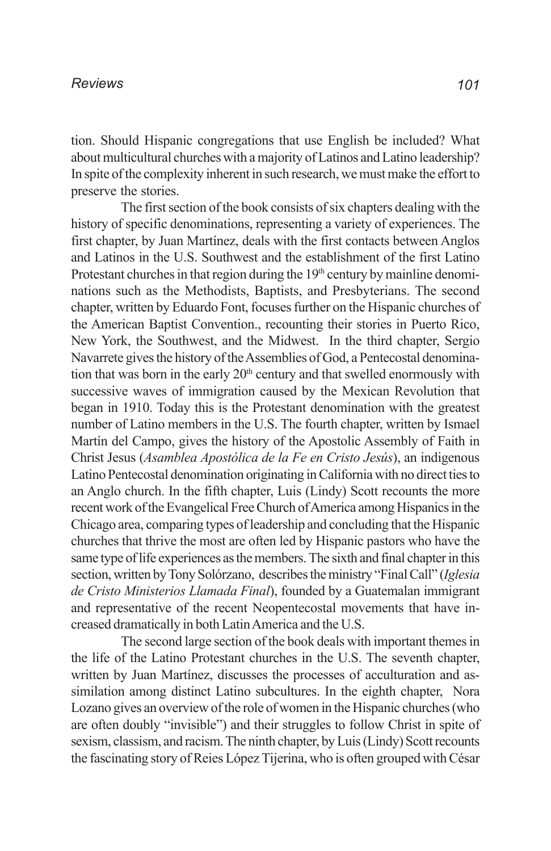## *Reviews*

tion. Should Hispanic congregations that use English be included? What about multicultural churches with a majority of Latinos and Latino leadership? In spite of the complexity inherent in such research, we must make the effort to preserve the stories.

The first section of the book consists of six chapters dealing with the history of specific denominations, representing a variety of experiences. The first chapter, by Juan Martínez, deals with the first contacts between Anglos and Latinos in the U.S. Southwest and the establishment of the first Latino Protestant churches in that region during the  $19<sup>th</sup>$  century by mainline denominations such as the Methodists, Baptists, and Presbyterians. The second chapter, written by Eduardo Font, focuses further on the Hispanic churches of the American Baptist Convention., recounting their stories in Puerto Rico, New York, the Southwest, and the Midwest. In the third chapter, Sergio Navarrete gives the history of the Assemblies of God, a Pentecostal denomination that was born in the early  $20<sup>th</sup>$  century and that swelled enormously with successive waves of immigration caused by the Mexican Revolution that began in 1910. Today this is the Protestant denomination with the greatest number of Latino members in the U.S. The fourth chapter, written by Ismael Martín del Campo, gives the history of the Apostolic Assembly of Faith in Christ Jesus (*Asamblea Apostólica de la Fe en Cristo Jesús*), an indigenous Latino Pentecostal denomination originating in California with no direct ties to an Anglo church. In the fifth chapter, Luis (Lindy) Scott recounts the more recent work of the Evangelical Free Church of America among Hispanics in the Chicago area, comparing types of leadership and concluding that the Hispanic churches that thrive the most are often led by Hispanic pastors who have the same type of life experiences as the members. The sixth and final chapter in this section, written by Tony Solórzano, describes the ministry "Final Call" (*Iglesia de Cristo Ministerios Llamada Final*), founded by a Guatemalan immigrant and representative of the recent Neopentecostal movements that have increased dramatically in both Latin America and the U.S.

The second large section of the book deals with important themes in the life of the Latino Protestant churches in the U.S. The seventh chapter, written by Juan Martínez, discusses the processes of acculturation and assimilation among distinct Latino subcultures. In the eighth chapter, Nora Lozano gives an overview of the role of women in the Hispanic churches (who are often doubly "invisible") and their struggles to follow Christ in spite of sexism, classism, and racism. The ninth chapter, by Luis (Lindy) Scott recounts the fascinating story of Reies López Tijerina, who is often grouped with César